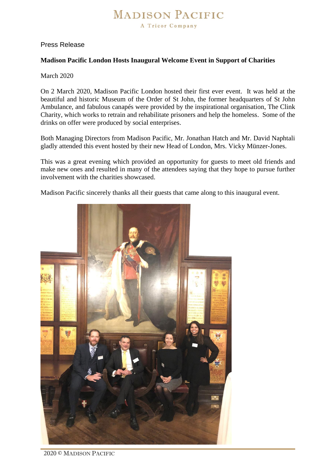### **MADISON PACIFIC** A Tricor Company

### Press Release

### **Madison Pacific London Hosts Inaugural Welcome Event in Support of Charities**

March 2020

On 2 March 2020, Madison Pacific London hosted their first ever event. It was held at the beautiful and historic Museum of the Order of St John, the former headquarters of St John Ambulance, and fabulous canapés were provided by the inspirational organisation, The Clink Charity, which works to retrain and rehabilitate prisoners and help the homeless. Some of the drinks on offer were produced by social enterprises.

Both Managing Directors from Madison Pacific, Mr. Jonathan Hatch and Mr. David Naphtali gladly attended this event hosted by their new Head of London, Mrs. Vicky Münzer-Jones.

This was a great evening which provided an opportunity for guests to meet old friends and make new ones and resulted in many of the attendees saying that they hope to pursue further involvement with the charities showcased.

Madison Pacific sincerely thanks all their guests that came along to this inaugural event.



2020 © MADISON PACIFIC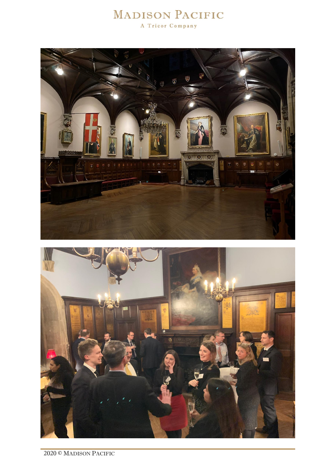# **MADISON PACIFIC** A Tricor Company